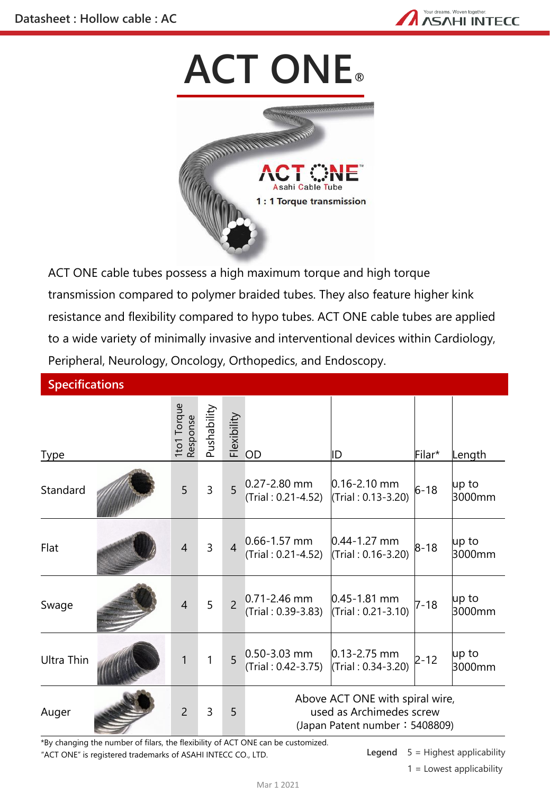

## **ACT ONE**®



ACT ONE cable tubes possess a high maximum torque and high torque transmission compared to polymer braided tubes. They also feature higher kink resistance and flexibility compared to hypo tubes. ACT ONE cable tubes are applied to a wide variety of minimally invasive and interventional devices within Cardiology, Peripheral, Neurology, Oncology, Orthopedics, and Endoscopy.

| <b>Specifications</b> |                         |             |                |                                        |                                                                                               |          |                      |
|-----------------------|-------------------------|-------------|----------------|----------------------------------------|-----------------------------------------------------------------------------------------------|----------|----------------------|
| <b>Type</b>           | 1to1 Torque<br>Response | Pushability | Flexibility    | OD                                     | ID                                                                                            | Filar*   | Length               |
| Standard              | 5                       | 3           | 5              | $0.27 - 2.80$ mm<br>(Trial: 0.21-4.52) | $0.16 - 2.10$ mm<br>(Trial: 0.13-3.20)                                                        | $6 - 18$ | $\mu$ p to<br>3000mm |
| Flat                  | 4                       | 3           | $\overline{4}$ | $0.66 - 1.57$ mm<br>(Trial: 0.21-4.52) | $0.44 - 1.27$ mm<br>(Trial: 0.16-3.20)                                                        | $8 - 18$ | up to<br>3000mm      |
| Swage                 | $\overline{4}$          | 5           | $\overline{a}$ | $0.71 - 2.46$ mm<br>(Trial: 0.39-3.83) | $0.45 - 1.81$ mm<br>(Trial: 0.21-3.10)                                                        | $7 - 18$ | up to<br>3000mm      |
| <b>Ultra Thin</b>     | 1                       | 1           | 5              | $0.50 - 3.03$ mm<br>(Trial: 0.42-3.75) | $0.13 - 2.75$ mm<br>(Trial: 0.34-3.20)                                                        | $2 - 12$ | $up$ to<br>3000mm    |
| Auger                 | 2                       | 3           | 5              |                                        | Above ACT ONE with spiral wire,<br>used as Archimedes screw<br>(Japan Patent number: 5408809) |          |                      |

"ACT ONE" is registered trademarks of ASAHI INTECC CO., LTD. \*By changing the number of filars, the flexibility of ACT ONE can be customized.

**Legend** 5 = Highest applicability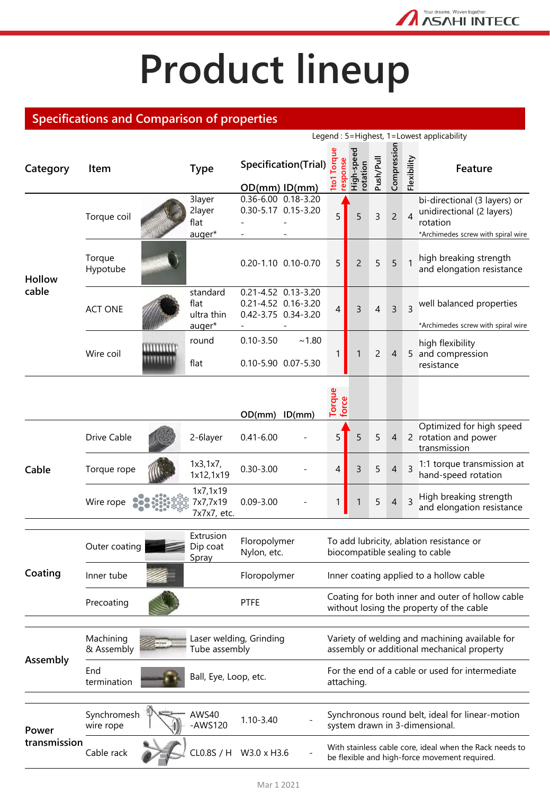## **Product lineup**

Your dreams. Woven together. **ASAHI INTECC** 

## **Specifications and Comparison of properties**

|                        |                          |                     |                                          |                                                                   |                      |                                                                                              | Legend: 5=Highest, 1=Lowest applicability                     |                |                |                         |                                                                                                             |
|------------------------|--------------------------|---------------------|------------------------------------------|-------------------------------------------------------------------|----------------------|----------------------------------------------------------------------------------------------|---------------------------------------------------------------|----------------|----------------|-------------------------|-------------------------------------------------------------------------------------------------------------|
| Category               | Item                     |                     | <b>Type</b>                              | $OD(mm)$ $ID(mm)$                                                 | Specification(Trial) | org.<br>response<br>$\overline{\text{e}}$                                                    | High-speed<br>rotation                                        | Push/Pull      | Compression    | Flexibility             | Feature                                                                                                     |
| <b>Hollow</b><br>cable | Torque coil              |                     | 3layer<br>2layer<br>flat<br>auger*       | 0.36-6.00 0.18-3.20                                               | 0.30-5.17 0.15-3.20  | 5                                                                                            | 5                                                             | $\mathsf{3}$   | $\overline{c}$ | $\overline{4}$          | bi-directional (3 layers) or<br>unidirectional (2 layers)<br>rotation<br>*Archimedes screw with spiral wire |
|                        | Torque<br>Hypotube       |                     |                                          | 0.20-1.10 0.10-0.70                                               |                      | 5                                                                                            | $\overline{c}$                                                | 5              | 5              | 1                       | high breaking strength<br>and elongation resistance                                                         |
|                        | <b>ACT ONE</b>           |                     | standard<br>flat<br>ultra thin<br>auger* | 0.21-4.52 0.13-3.20<br>0.21-4.52 0.16-3.20<br>0.42-3.75 0.34-3.20 |                      | 4                                                                                            | 3                                                             | $\overline{4}$ | $\overline{3}$ | $\overline{\mathbf{z}}$ | well balanced properties<br>*Archimedes screw with spiral wire                                              |
|                        | Wire coil                | mmm<br><b>TARAN</b> | round<br>flat                            | $0.10 - 3.50$<br>0.10-5.90 0.07-5.30                              | ~1.80                | 1                                                                                            | 1                                                             | $\overline{2}$ | $\overline{4}$ |                         | high flexibility<br>5 and compression<br>resistance                                                         |
|                        |                          |                     |                                          | $OD(mm)$ $ID(mm)$                                                 |                      | Torque<br>force                                                                              |                                                               |                |                |                         |                                                                                                             |
|                        | Drive Cable              |                     | 2-6layer                                 | $0.41 - 6.00$                                                     |                      | 5                                                                                            | 5                                                             | 5              | $\overline{4}$ |                         | Optimized for high speed<br>2 rotation and power<br>transmission                                            |
| Cable                  | Torque rope              |                     | 1x3, 1x7,<br>1x12,1x19                   | $0.30 - 3.00$                                                     |                      | 4                                                                                            | 3                                                             | 5              | 4              | $\overline{3}$          | 1:1 torque transmission at<br>hand-speed rotation                                                           |
|                        | Wire rope                |                     | 1x7,1x19<br>7x7,7x19<br>7x7x7, etc.      | $0.09 - 3.00$                                                     |                      | 1                                                                                            |                                                               | 5              | 4              | 3                       | High breaking strength<br>and elongation resistance                                                         |
|                        | Outer coating            |                     | Extrusion<br>Dip coat<br>Spray           | Floropolymer<br>Nylon, etc.                                       |                      |                                                                                              |                                                               |                |                |                         | To add lubricity, ablation resistance or<br>biocompatible sealing to cable                                  |
| Coating                | Inner tube               |                     | Floropolymer                             |                                                                   |                      | Inner coating applied to a hollow cable                                                      |                                                               |                |                |                         |                                                                                                             |
|                        | Precoating               |                     | <b>PTFE</b>                              |                                                                   |                      | Coating for both inner and outer of hollow cable<br>without losing the property of the cable |                                                               |                |                |                         |                                                                                                             |
|                        |                          |                     |                                          |                                                                   |                      |                                                                                              |                                                               |                |                |                         |                                                                                                             |
| Assembly               | Machining<br>& Assembly  |                     | Laser welding, Grinding<br>Tube assembly |                                                                   |                      | Variety of welding and machining available for<br>assembly or additional mechanical property |                                                               |                |                |                         |                                                                                                             |
|                        | End<br>termination       |                     | Ball, Eye, Loop, etc.                    |                                                                   |                      |                                                                                              | For the end of a cable or used for intermediate<br>attaching. |                |                |                         |                                                                                                             |
| Power<br>transmission  | Synchromesh<br>wire rope |                     | AWS40<br>-AWS120                         | $1.10 - 3.40$                                                     |                      |                                                                                              |                                                               |                |                |                         | Synchronous round belt, ideal for linear-motion<br>system drawn in 3-dimensional.                           |
|                        | Cable rack               |                     | CL0.8S / H W3.0 x H3.6                   |                                                                   |                      |                                                                                              |                                                               |                |                |                         | With stainless cable core, ideal when the Rack needs to<br>be flexible and high-force movement required.    |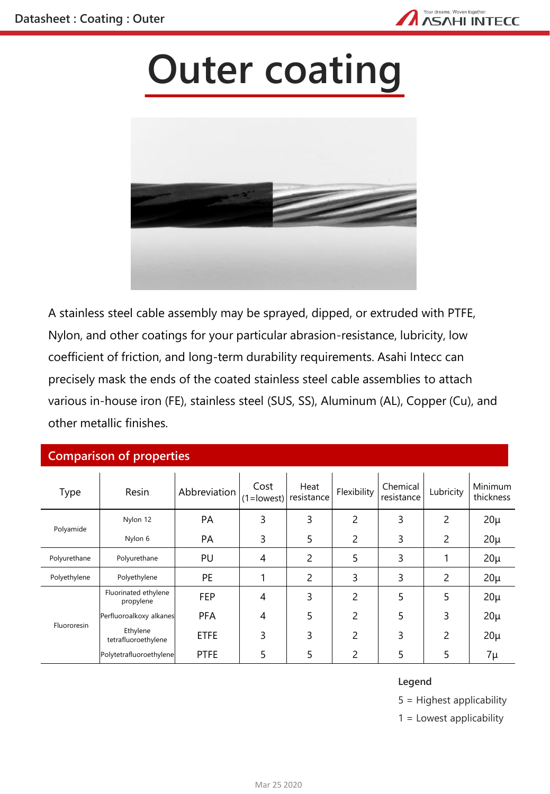

## **Outer coating**



A stainless steel cable assembly may be sprayed, dipped, or extruded with PTFE, Nylon, and other coatings for your particular abrasion-resistance, lubricity, low coefficient of friction, and long-term durability requirements. Asahi Intecc can precisely mask the ends of the coated stainless steel cable assemblies to attach various in-house iron (FE), stainless steel (SUS, SS), Aluminum (AL), Copper (Cu), and other metallic finishes.

## **Comparison of properties**

| Type         | Resin                             | Abbreviation | Cost | Heat<br>$(1 = lowest)$ resistance | Flexibility | Chemical<br>resistance | Lubricity | Minimum<br>thickness |
|--------------|-----------------------------------|--------------|------|-----------------------------------|-------------|------------------------|-----------|----------------------|
| Polyamide    | Nylon 12                          | PA           | 3    | 3                                 | 2           | 3                      | 2         | $20\mu$              |
|              | Nylon 6                           | <b>PA</b>    | 3    | 5                                 | 2           | 3                      | 2         | $20\mu$              |
| Polyurethane | Polyurethane                      | PU           | 4    | 2                                 | 5           | 3                      |           | $20\mu$              |
| Polyethylene | Polyethylene                      | PE           |      | 2                                 | 3           | 3                      | 2         | $20\mu$              |
| Fluororesin  | Fluorinated ethylene<br>propylene | <b>FEP</b>   | 4    | 3                                 | 2           | 5                      | 5         | $20\mu$              |
|              | Perfluoroalkoxy alkanes           | <b>PFA</b>   | 4    | 5                                 | 2           | 5                      | 3         | $20\mu$              |
|              | Ethylene<br>tetrafluoroethylene   | <b>ETFE</b>  | 3    | 3                                 | 2           | 3                      | 2         | $20\mu$              |
|              | Polytetrafluoroethylene           | <b>PTFE</b>  | 5    | 5                                 | 2           | 5                      | 5         | 7μ                   |

### **Legend**

5 = Highest applicability

1 = Lowest applicability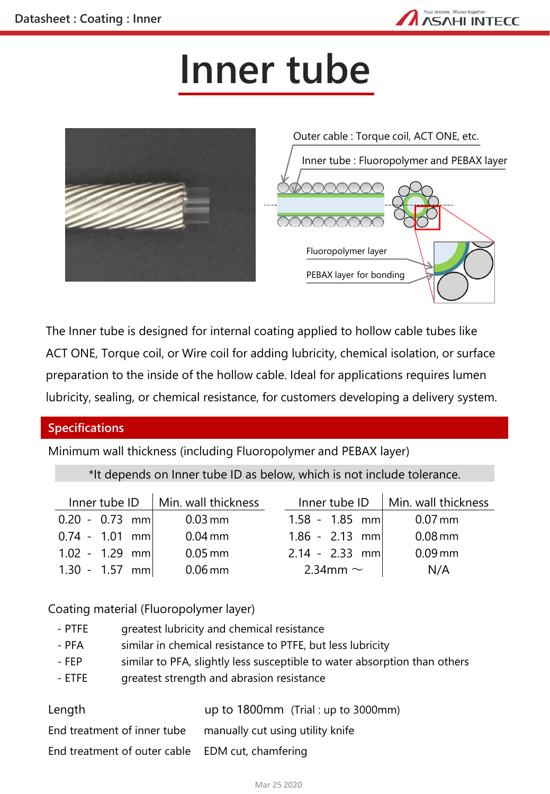

## **Inner tube**



The Inner tube is designed for internal coating applied to hollow cable tubes like ACT ONE, Torque coil, or Wire coil for adding lubricity, chemical isolation, or surface preparation to the inside of the hollow cable. Ideal for applications requires lumen lubricity, sealing, or chemical resistance, for customers developing a delivery system.

## **Specifications**

Minimum wall thickness (including Fluoropolymer and PEBAX layer)

\*It depends on Inner tube ID as below, which is not include tolerance.

|                  | Inner tube ID $\parallel$ Min. wall thickness |                  | Inner tube $ID$   Min. wall thickness |  |
|------------------|-----------------------------------------------|------------------|---------------------------------------|--|
| $0.20 - 0.73$ mm | $0.03$ mm                                     | $1.58 - 1.85$ mm | $0.07$ mm                             |  |
| $0.74 - 1.01$ mm | $0.04$ mm                                     | $1.86 - 2.13$ mm | $0.08$ mm                             |  |
| $1.02 - 1.29$ mm | $0.05$ mm                                     | $2.14 - 2.33$ mm | $0.09$ mm                             |  |
| $1.30 - 1.57$ mm | $0.06$ mm                                     | 2.34mm $\sim$    | N/A                                   |  |

Coating material (Fluoropolymer layer)

- PTFE greatest lubricity and chemical resistance
- PFA similar in chemical resistance to PTFE, but less lubricity
- FEP similar to PFA, slightly less susceptible to water absorption than others
- ETFE greatest strength and abrasion resistance

| Length                                           | up to $1800 \text{mm}$ (Trial : up to $3000 \text{mm}$ ) |
|--------------------------------------------------|----------------------------------------------------------|
| End treatment of inner tube                      | manually cut using utility knife                         |
| End treatment of outer cable EDM cut, chamfering |                                                          |